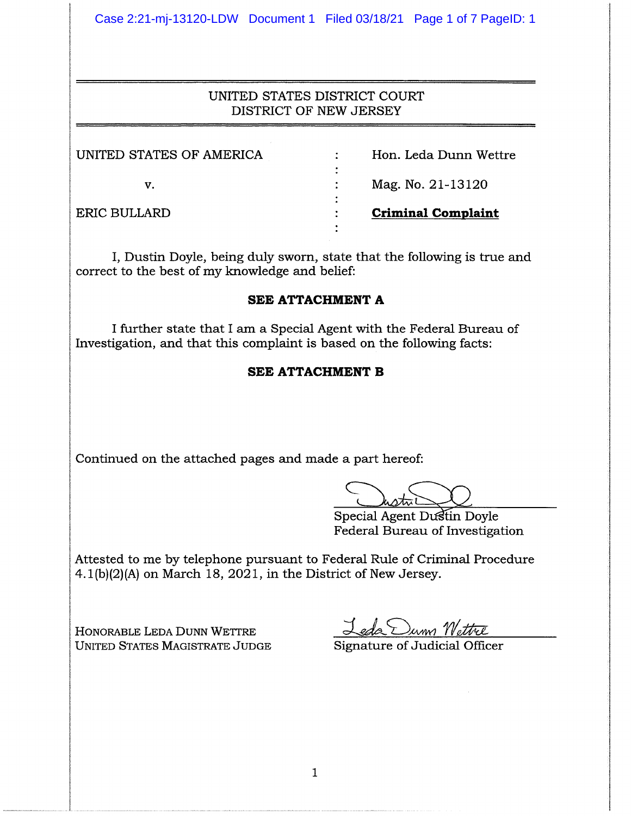Case 2:21-mj-13120-LDW Document 1 Filed 03/18/21 Page 1 of 7 PageID: 1

## UNITED STATES DISTRICT COURT DISTRICT OF NEWJERSEY

| UNITED STATES OF AMERICA | Hon. Leda Dunn Wettre     |
|--------------------------|---------------------------|
|                          |                           |
| V.                       | Mag. No. 21-13120         |
|                          |                           |
| ERIC BULLARD             | <b>Criminal Complaint</b> |
|                          |                           |

I, Dustin Doyle, being duly sworn, state that the following is true and correct to the best of my knowledge and belief:

#### **SEE ATTACHMENT A**

I further state that I am a Special Agent with the Federal Bureau of Investigation, and that this complaint is based on the following facts:

### **SEE ATTACHMENT B**

Continued on the attached pages and made a part hereof:

Special Agent Dustin Doyle Federal Bureau of Investigation

Attested to me by telephone pursuant to Federal Rule of Criminal Procedure  $4.1(b)(2)(A)$  on March 18, 2021, in the District of New Jersey.

HONORABLE LEDA DUNN WETTRE UNITED STATES MAGISTRATE JUDGE Signature of Judicial Officer

Leda Dum Wettre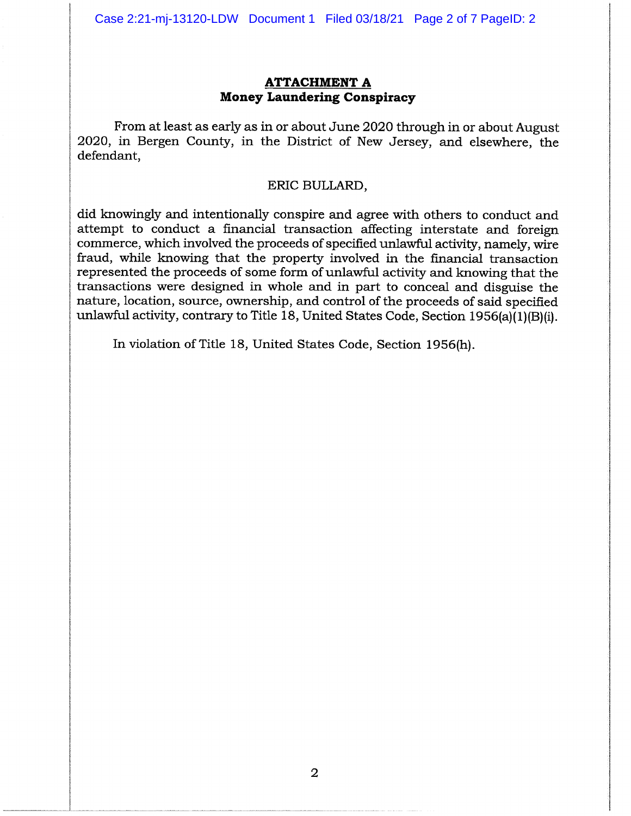#### **ATTACHMENT A Money Laundering Conspiracy**

From at least as early as in or about June 2020 through in or about August 2020, in Bergen County, in the District of New Jersey, and elsewhere, the defendant,

#### ERIC BULLARD,

did knowingly and intentionally conspire and agree with others to conduct and attempt to conduct a financial transaction affecting interstate and foreign commerce, which involved the proceeds of specified unlawful activity, namely, wire fraud, while knowing that the property involved in the financial transaction represented the proceeds of some form of unlawful activity and knowing that the transactions were designed in whole and in part to conceal and disguise the nature, location, source, ownership, and control of the proceeds of said specified unlawful activity, contrary to Title 18, United States Code, Section 1956(a)(1)(B)(i).

In violation of Title 18, United States Code, Section 1956(h).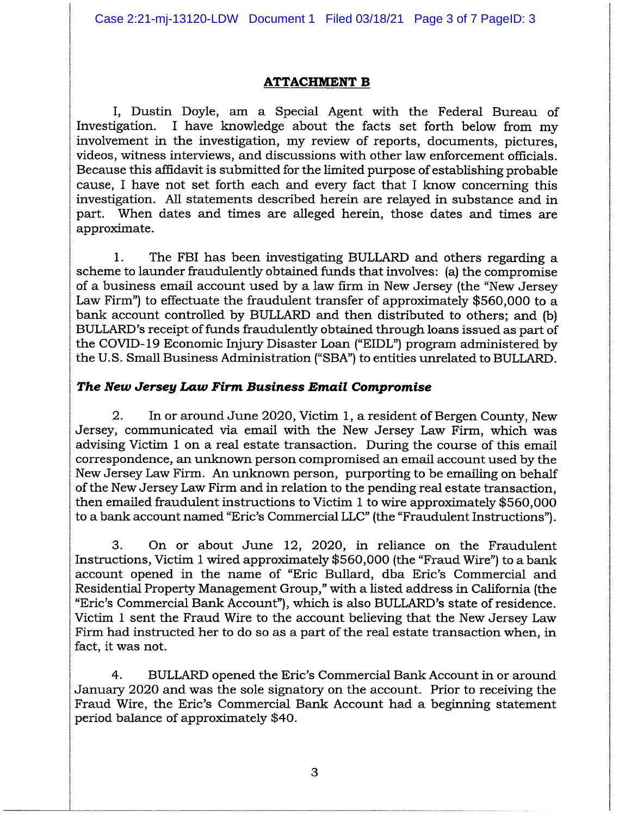Case 2:21-mj-13120-LDW Document 1 Filed 03/18/21 Page 3 of 7 PageID: 3

#### **ATTACHMENT B**

I, Dustin Doyle, am a Special Agent with the Federal Bureau of Investigation. I have knowledge about the facts set forth below from my involvement in the investigation, my review of reports, documents, pictures, videos, witness interviews, and discussions with other law enforcement officials. Because this affidavit is submitted for the limited purpose of establishing probable cause, I have not set forth each and every fact that I know concerning this investigation. All statements described herein are relayed in substance and in part. When dates and times are alleged herein, those dates and times are approximate.

1. The FBI has been investigating BULLARD and others regarding a scheme to launder fraudulently obtained funds that involves: (a) the compromise of a business email account used by a law firm in New Jersey (the "New Jersey Law Firm") to effectuate the fraudulent transfer of approximately \$560,000 to a bank account controlled by BULLARD and then distributed to others; and (b) BULLARD's receipt of funds fraudulently obtained through loans issued as part of the COVID-19 Economic Injury Disaster Loan ("EIDL") program administered by the U.S. Small Business Administration ("SBA") to entities unrelated to BULLARD.

### *The New Jersey Law Firm. Business Email Compromise*

2. In or around June 2020, Victim 1, a resident of Bergen County, New Jersey, communicated via email with the New Jersey Law Firm, which was advising Victim 1 on a real estate transaction. During the course of this email correspondence, an unknown person compromised an email account used by the NewJersey Law Firm. An unknown person, purporting to be emailing on behalf of the New Jersey Law Firm and in relation to the pending real estate transaction, then emailed fraudulent instructions to Victim 1 to wire approximately \$560,000 to a bank account named "Eric's Commercial LLC"(the "Fraudulent Instructions").

3. On or about June 12, 2020, in reliance on the Fraudulent Instructions, Victim 1 wired approximately  $$560,000$  (the "Fraud Wire") to a bank account opened in the name of "Eric Bullard, dba Eric's Commercial and Residential Property Management Group," with a listed address in California (the "Eric's Commercial Bank Account"), which is also BULLARD's state of residence. Victim 1 sent the Fraud Wire to the account believing that the New Jersey Law Firm had instructed her to do so as a part of the real estate transaction when, in fact, it was not.

4. BULLARD opened the Eric's Commercial Bank Account in or around January 2020 and was the sole signatory on the account. Prior to receiving the Fraud Wire, the Eric's Commercial Bank Account had a beginning statement period balance of approximately \$40.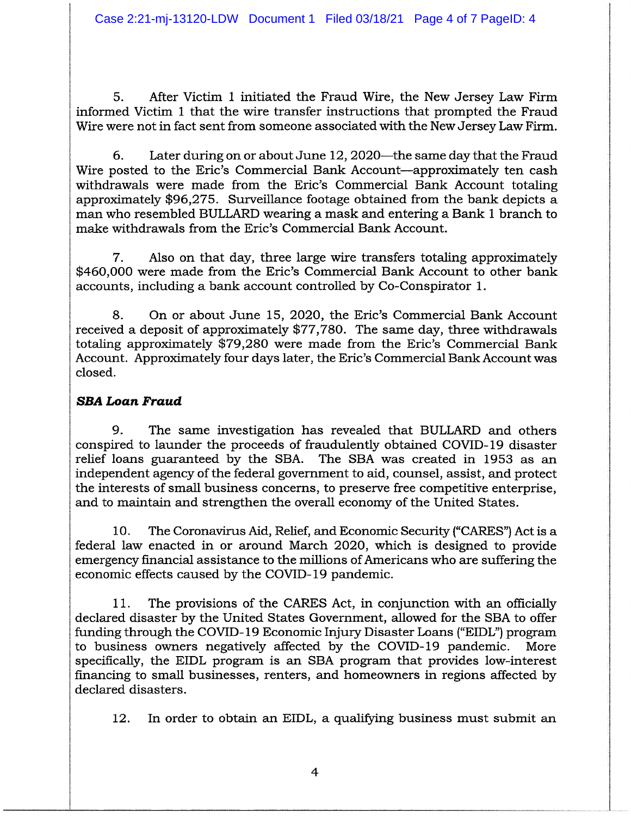5. After Victim 1 initiated the Fraud Wire, the New Jersey Law Firm informed Victim 1 that the wire transfer instructions that prompted the Fraud Wire were not in fact sent from someone associated with the New Jersey Law Firm.

6. Later during on or about June 12, 2020—the same day that the Fraud Wire posted to the Eric's Commercial Bank Account-approximately ten cash withdrawals were made from the Eric's Commercial Bank Account totaling approximately \$96,275. Surveillance footage obtained from the bank depicts a man who resembled BULLARD wearing a mask and entering a Bank 1 branch to make withdrawals from the Eric's Commercial Bank Account.

7. Also on that day, three large wire transfers totaling approximately \$460,000 were made from the Eric's Commercial Bank Account to other bank accounts, including a bank account controlled by Co-Conspirator 1.

8. On or about June 15, 2020, the Eric's Commercial Bank Account received a deposit of approximately \$77,780. The same day, three withdrawals totaling approximately \$79,280 were made from the Eric's Commercial Bank Account. Approximately four days later, the Eric's Commercial Bank Account was closed.

# *SBA Loan Fraud*

9. The same investigation has revealed that BULLARD and others conspired to launder the proceeds of fraudulently obtained COVID-19 disaster relief loans guaranteed by the SBA. The SBA was created in 1953 as an independent agency of the federal government to aid, counsel, assist, and protect the interests of small business concerns, to preserve free competitive enterprise, and to maintain and strengthen the overall economy of the United States.

10. The Coronavirus Aid, Relief, and Economic Security ("CARES") Act is a federal law enacted in or around March 2020, which is designed to provide emergency financial assistance to the millions of Americans who are suffering the economic effects caused by the COVID-19 pandemic.

11. The provisions of the CARES Act, in conjunction with an officially declared disaster by the United States Government, allowed for the SBA to offer funding through the COVID-19 Economic Injury Disaster Loans ("EIDL") program to business owners negatively affected by the COVID-19 pandemic. More specifically, the EIDL program is an SBA program that provides low-interest financing to small businesses, renters, and homeowners in regions affected by declared disasters.

12. In order to obtain an EIDL, a qualifying business must submit an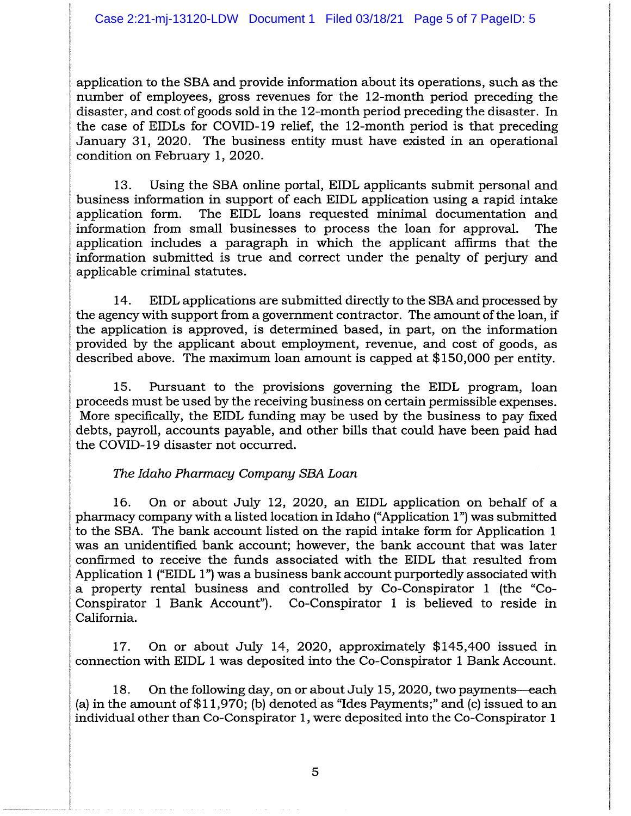application to the SBA and provide information about its operations, such as the number of employees, gross revenues for the 12-month period preceding the disaster, and cost of goods sold in the 12-month period preceding the disaster. In the case of EIDLs for COVID-19 relief, the 12-month period is that preceding January 31, 2020. The business entity must have existed in an operational condition on February 1, 2020.

13. Using the SBA online portal, EIDL applicants submit personal and business information in support of each EIDL application using a rapid intake application form. The EIDL loans requested minimal documentation and information from small businesses to process the loan for approval. The application includes a paragraph in which the applicant affirms that the information submitted is true and correct under the penalty of perjury and applicable criminal statutes.

14. EIDL applications are submitted directly to the SBA and processed by the agency with support from a government contractor. The amount of the loan, if the application is approved, is determined based, in part, on the information provided by the applicant about employment, revenue, and cost of goods, as described above. The maximum loan amount is capped at \$150,000 per entity.

15. Pursuant to the provisions governing the EIDL program, loan proceeds must be used by the receiving business on certain permissible expenses. More specifically, the EIDL funding may be used by the business to pay fixed debts, payroll, accounts payable, and other bills that could have been paid had the COVID-19 disaster not occurred.

### *The Idaho Phannacy Company SBA Loan*

16. On or about July 12, 2020, an EIDL application on behalf of a pharmacy company with a listed location in Idaho ("Application 1") was submitted to the SBA. The bank account listed on the rapid intake form for Application 1 was an unidentified bank account; however, the bank account that was later confirmed to receive the funds associated with the EIDL that resulted from Application 1 ("EIDL 1") was a business bank account purportedly associated with a property rental business and controlled by Co-Conspirator 1 (the "Co-Conspirator 1 Bank Account"). Co-Conspirator 1 is believed to reside in California.

17. On or about July 14, 2020, approximately \$145,400 issued in connection with EIDL 1 was deposited into the Co-Conspirator 1 Bank Account.

18. On the following day, on or about July 15, 2020, two payments—each (a) in the amount of  $$11,970$ ; (b) denoted as "Ides Payments;" and (c) issued to an individual other than Co-Conspirator 1, were deposited into the Co-Conspirator 1

5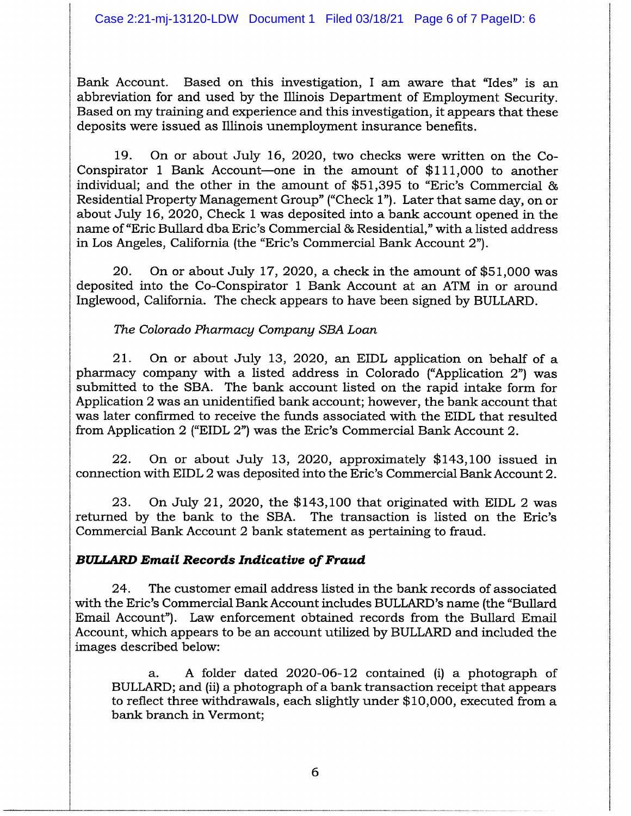Bank Account. Based on this investigation, I am aware that "Ides" is an abbreviation for and used by the Illinois Department of Employment Security. Based on my training and experience and this investigation, it appears that these deposits were issued as Illinois unemployment insurance benefits.

19. On or about July 16, 2020, two checks were written on the Co-Conspirator 1 Bank Account-one in the amount of \$111,000 to another individual; and the other in the amount of \$51,395 to "Eric's Commercial & Residential Property Management Group" ("Check 1"). Later that same day, on or about July 16,2020, Check 1 was deposited into a bank account opened in the name of "Eric Bullard dba Eric's Commercial & Residential," with a listed address in Los Angeles, California (the "Eric's Commercial Bank Account 2").

20. On or about July 17,2020, a check in the amount of \$51,000 was deposited into the Co-Conspirator 1 Bank Account at an ATM in or around Inglewood, California. The check appears to have been signed by BULLARD.

*The Colorado Pharmacy Company SEA Loan*

21. On or about July 13, 2020, an EIDL application on behalf of a pharmacy company with a listed address in Colorado ("Application 2") was submitted to the SBA. The bank account listed on the rapid intake form for Application 2 was an unidentified bank account; however, the bank account that was later confirmed to receive the funds associated with the EIDL that resulted from Application 2 ("EIDL 2") was the Eric's Commercial Bank Account 2.

22. On or about July 13, 2020, approximately \$143,100 issued in connection with EIDL2 was deposited into the Eric's Commercial Bank Account 2.

23. On July 21, 2020, the \$143,100 that originated with EIDL 2 was returned by the bank to the SBA. The transaction is listed on the Eric's Commercial Bank Account 2 bank statement as pertaining to fraud.

# *BULLARDEmail Records Indicative of Fraud*

24. The customer email address listed in the bank records of associated with the Eric's Commercial Bank Account includes BULLARD's name (the "Bullard Email Account"). Law enforcement obtained records from the Bullard Email Account, which appears to be an account utilized by BULLARD and included the images described below:

a. A folder dated 2020-06-12 contained (i) a photograph of BULLARD; and (ii) a photograph of a bank transaction receipt that appears to reflect three withdrawals, each slightly under \$10,000, executed from a bank branch in Vermont;